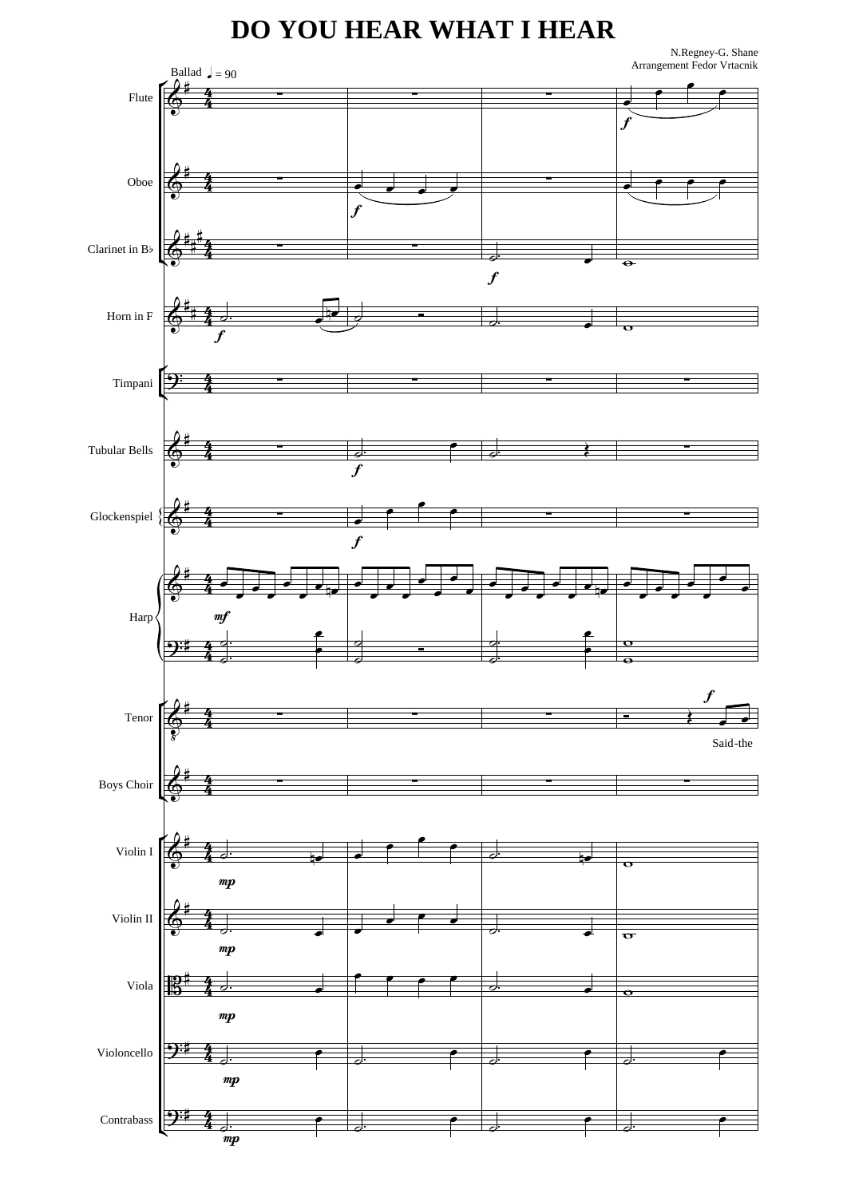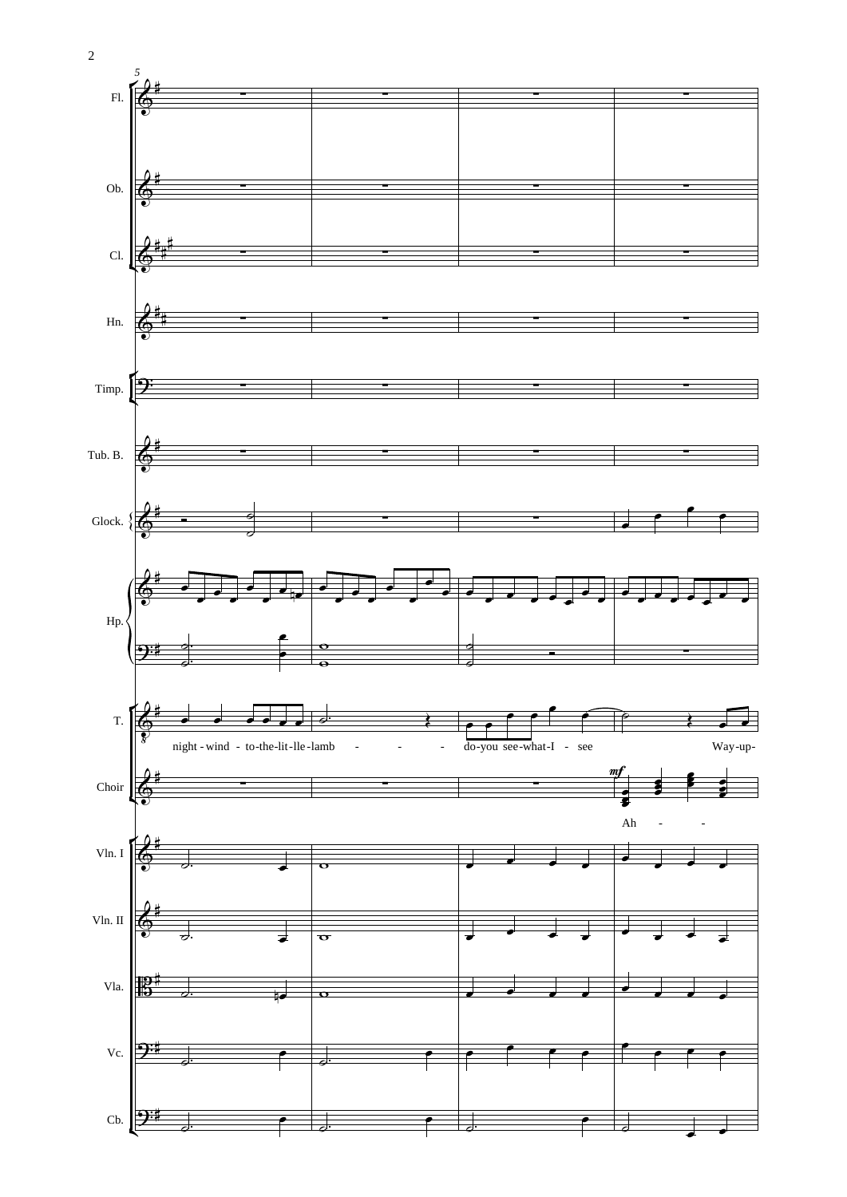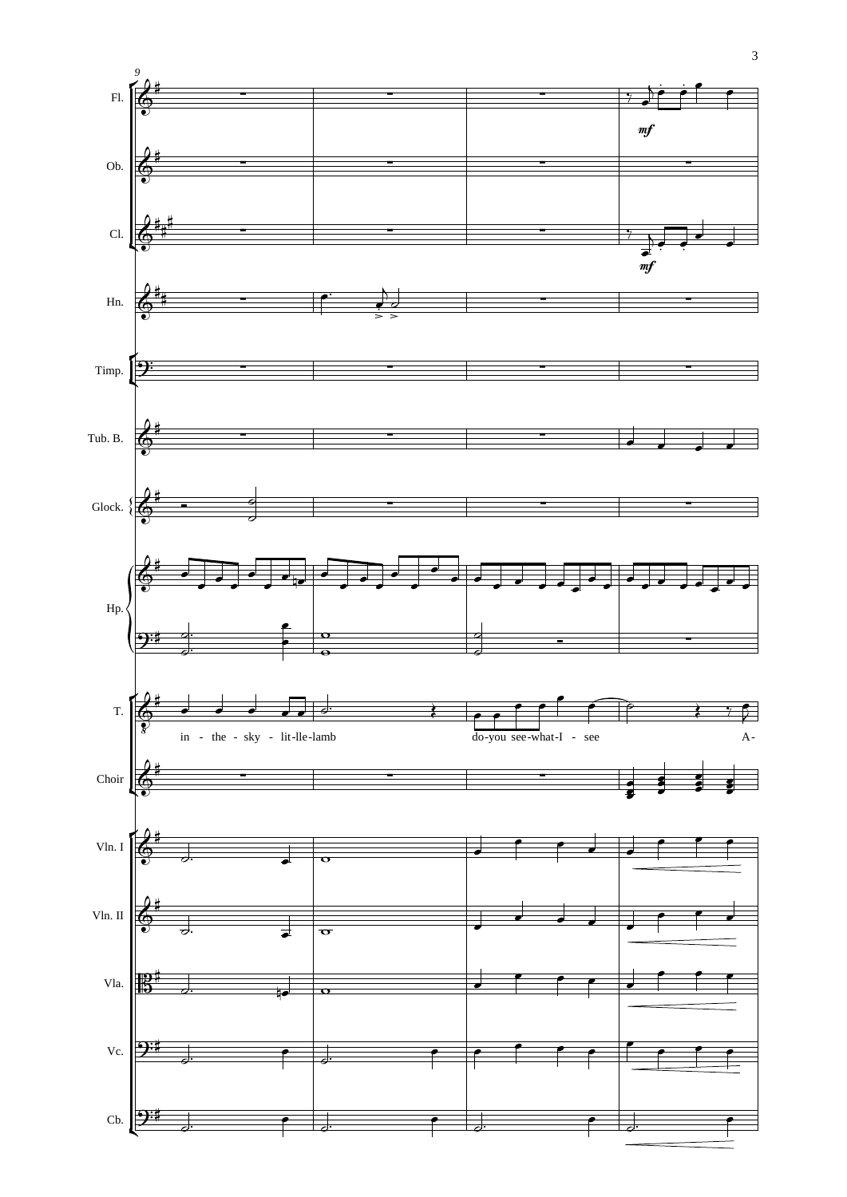